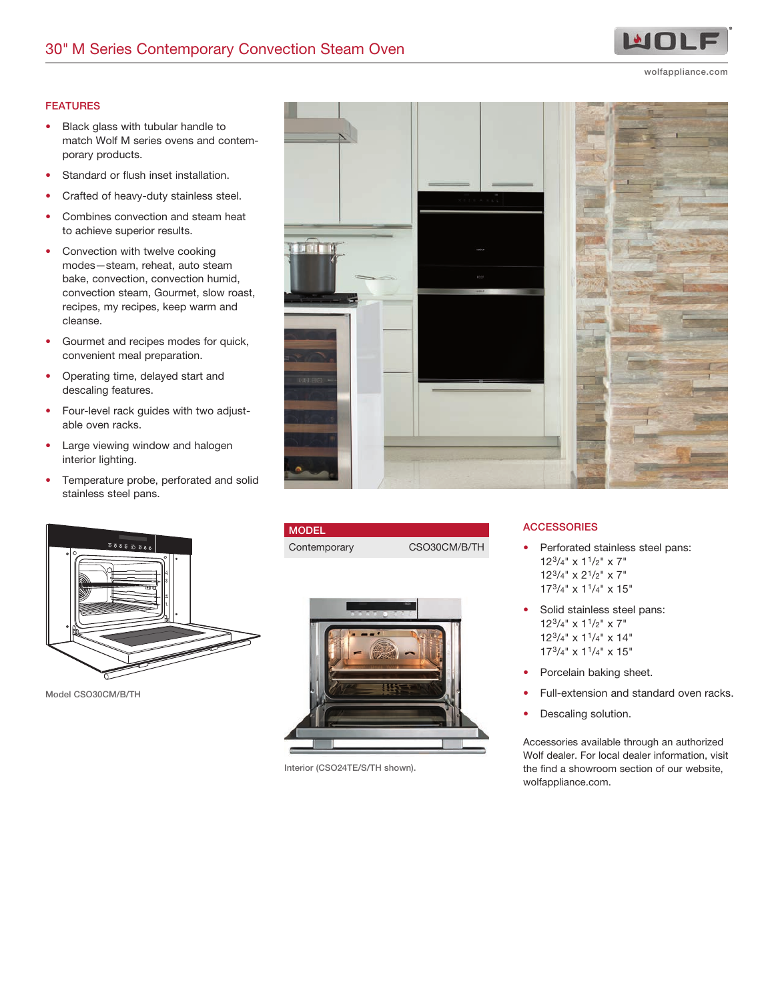wolfappliance.com

MOL

## FEATURES

- Black glass with tubular handle to match Wolf M series ovens and contemporary products.
- Standard or flush inset installation.
- Crafted of heavy-duty stainless steel.
- Combines convection and steam heat to achieve superior results.
- Convection with twelve cooking modes—steam, reheat, auto steam bake, convection, convection humid, convection steam, Gourmet, slow roast, recipes, my recipes, keep warm and cleanse.
- Gourmet and recipes modes for quick, convenient meal preparation.
- Operating time, delayed start and descaling features.
- Four-level rack guides with two adjustable oven racks.
- Large viewing window and halogen interior lighting.
- Temperature probe, perforated and solid stainless steel pans.



Model CSO30CM/B/TH



| <b>MODEL</b> |              |
|--------------|--------------|
| Contemporary | CSO30CM/B/TH |
|              |              |



Interior (CSO24TE/S/TH shown).

## **ACCESSORIES**

- Perforated stainless steel pans: 123/4" x 11/2" x 7" 123/4" x 21/2" x 7"  $17^{3}/4"$  x  $1^{1}/4"$  x  $15"$
- Solid stainless steel pans: 123/4" x 11/2" x 7" 123/4" x 11/4" x 14" 173/4" x 11/4" x 15"
- Porcelain baking sheet.
- Full-extension and standard oven racks.
- Descaling solution.

Accessories available through an authorized Wolf dealer. For local dealer information, visit the find a showroom section of our website, wolfappliance.com.